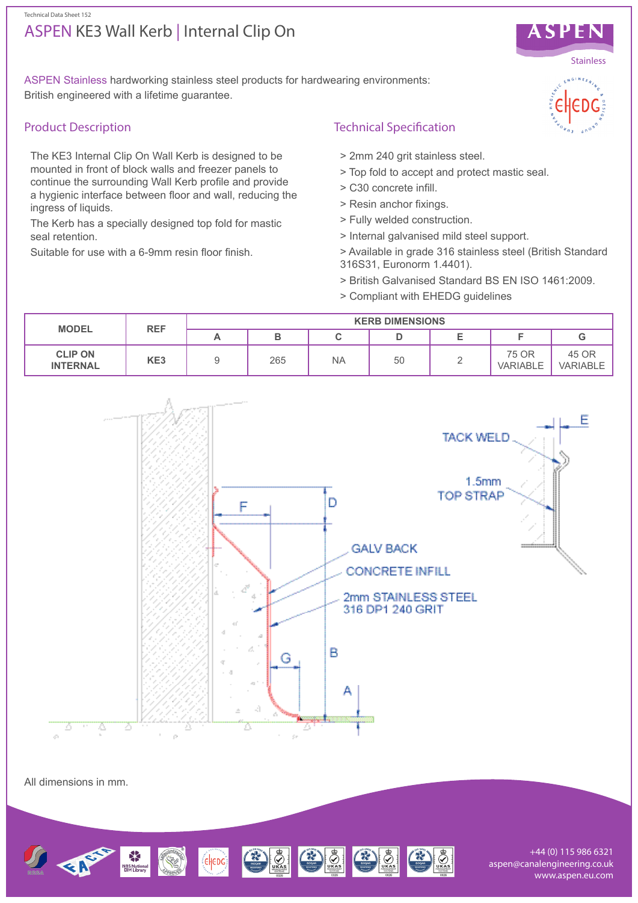#### Technical Data Sheet 152

# ASPEN KE3 Wall Kerb | Internal Clip On



# Product Description

The KE3 Internal Clip On Wall Kerb is designed to be mounted in front of block walls and freezer panels to continue the surrounding Wall Kerb profile and provide a hygienic interface between floor and wall, reducing the ingress of liquids.

The Kerb has a specially designed top fold for mastic seal retention.

Suitable for use with a 6-9mm resin floor finish.

# Technical Specification

- > 2mm 240 grit stainless steel.
- > Top fold to accept and protect mastic seal.
- > C30 concrete infill.
- > Resin anchor fixings.
- > Fully welded construction.
- > Internal galvanised mild steel support.
- > Available in grade 316 stainless steel (British Standard 316S31, Euronorm 1.4401).
- > British Galvanised Standard BS EN ISO 1461:2009.
- > Compliant with EHEDG guidelines



All dimensions in mm.



+44 (0) 115 986 6321 aspen@canalengineering.co.uk www.aspen.eu.com



ASPEN